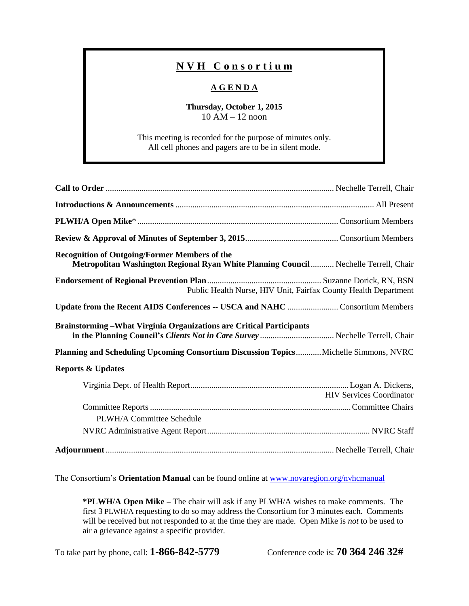## **N V H C o n s o r t i u m**

## **A G E N D A**

## **Thursday, October 1, 2015** 10 AM – 12 noon

This meeting is recorded for the purpose of minutes only. All cell phones and pagers are to be in silent mode.

| <b>Recognition of Outgoing/Former Members of the</b><br>Metropolitan Washington Regional Ryan White Planning Council  Nechelle Terrell, Chair |
|-----------------------------------------------------------------------------------------------------------------------------------------------|
| Public Health Nurse, HIV Unit, Fairfax County Health Department                                                                               |
| Update from the Recent AIDS Conferences -- USCA and NAHC  Consortium Members                                                                  |
| <b>Brainstorming - What Virginia Organizations are Critical Participants</b>                                                                  |
| Planning and Scheduling Upcoming Consortium Discussion Topics Michelle Simmons, NVRC                                                          |
| <b>Reports &amp; Updates</b>                                                                                                                  |
| <b>HIV Services Coordinator</b>                                                                                                               |
|                                                                                                                                               |
| PLWH/A Committee Schedule                                                                                                                     |
|                                                                                                                                               |
|                                                                                                                                               |

The Consortium's **Orientation Manual** can be found online at [www.novaregion.org/nvhcmanual](http://www.novaregion.org/nvhcmanual)

**\*PLWH/A Open Mike** – The chair will ask if any PLWH/A wishes to make comments. The first 3 PLWH/A requesting to do so may address the Consortium for 3 minutes each. Comments will be received but not responded to at the time they are made. Open Mike is *not* to be used to air a grievance against a specific provider.

To take part by phone, call: **1-866-842-5779** Conference code is: **70 364 246 32#**